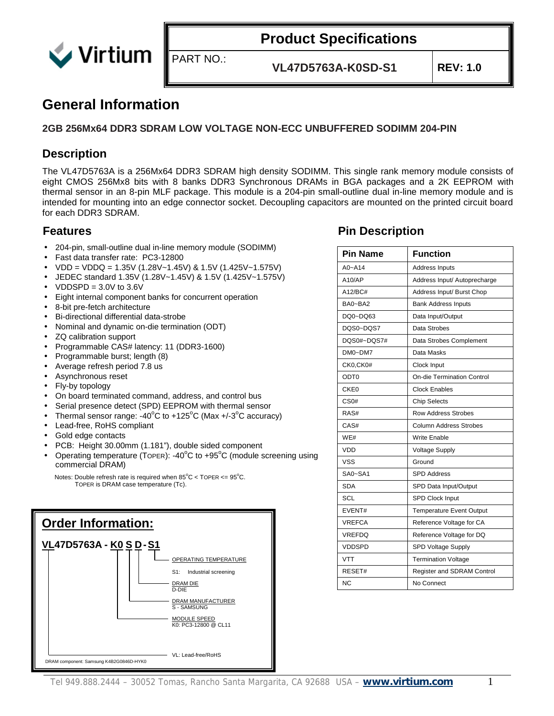

**VL47D5763A-K0SD-S1 REV: 1.0**

#### **General Information**

#### **2GB 256Mx64 DDR3 SDRAM LOW VOLTAGE NON-ECC UNBUFFERED SODIMM 204-PIN**

PART NO.:

#### **Description**

The VL47D5763A is a 256Mx64 DDR3 SDRAM high density SODIMM. This single rank memory module consists of eight CMOS 256Mx8 bits with 8 banks DDR3 Synchronous DRAMs in BGA packages and a 2K EEPROM with thermal sensor in an 8-pin MLF package. This module is a 204-pin small-outline dual in-line memory module and is intended for mounting into an edge connector socket. Decoupling capacitors are mounted on the printed circuit board for each DDR3 SDRAM.

- 204-pin, small-outline dual in-line memory module (SODIMM)
- Fast data transfer rate: PC3-12800
- VDD = VDDQ = 1.35V (1.28V~1.45V) & 1.5V (1.425V~1.575V)
- JEDEC standard 1.35V (1.28V~1.45V) & 1.5V (1.425V~1.575V)
- $VDDSPD = 3.0V$  to  $3.6V$
- Eight internal component banks for concurrent operation
- 8-bit pre-fetch architecture
- Bi-directional differential data-strobe
- Nominal and dynamic on-die termination (ODT)
- ZQ calibration support
- Programmable CAS# latency: 11 (DDR3-1600)
- Programmable burst; length (8)
- Average refresh period 7.8 us
- Asynchronous reset
- Fly-by topology
- On board terminated command, address, and control bus
- Serial presence detect (SPD) EEPROM with thermal sensor
- Thermal sensor range: -40 $^{\circ}$ C to +125 $^{\circ}$ C (Max +/-3 $^{\circ}$ C accuracy)
- Lead-free, RoHS compliant
- Gold edge contacts
- PCB: Height 30.00mm (1.181"), double sided component
- Operating temperature (TOPER): -40 $^{\circ}$ C to +95 $^{\circ}$ C (module screening using commercial DRAM)

Notes: Double refresh rate is required when  $85^{\circ}$ C < TOPER <=  $95^{\circ}$ C. TOPER is DRAM case temperature (Tc).



#### **Features Pin Description**

| <b>Pin Name</b>  | <b>Function</b>                 |
|------------------|---------------------------------|
| $A0 - A14$       | Address Inputs                  |
| A10/AP           | Address Input/ Autoprecharge    |
| A12/BC#          | Address Input/ Burst Chop       |
| BA0~BA2          | <b>Bank Address Inputs</b>      |
| DQ0~DQ63         | Data Input/Output               |
| DQS0~DQS7        | Data Strobes                    |
| DQS0#~DQS7#      | Data Strobes Complement         |
| $DMO \sim DM7$   | Data Masks                      |
| CK0,CK0#         | Clock Input                     |
| ODT <sub>0</sub> | On-die Termination Control      |
| CKE <sub>0</sub> | <b>Clock Enables</b>            |
| CS <sub>0#</sub> | <b>Chip Selects</b>             |
| RAS#             | <b>Row Address Strobes</b>      |
| CAS#             | <b>Column Address Strobes</b>   |
| WE#              | <b>Write Enable</b>             |
| VDD              | Voltage Supply                  |
| VSS              | Ground                          |
| SA0~SA1          | <b>SPD Address</b>              |
| <b>SDA</b>       | SPD Data Input/Output           |
| SCL              | SPD Clock Input                 |
| EVENT#           | <b>Temperature Event Output</b> |
| <b>VREFCA</b>    | Reference Voltage for CA        |
| <b>VREFDQ</b>    | Reference Voltage for DQ        |
| <b>VDDSPD</b>    | SPD Voltage Supply              |
| <b>VTT</b>       | <b>Termination Voltage</b>      |
| RESET#           | Register and SDRAM Control      |
| <b>NC</b>        | No Connect                      |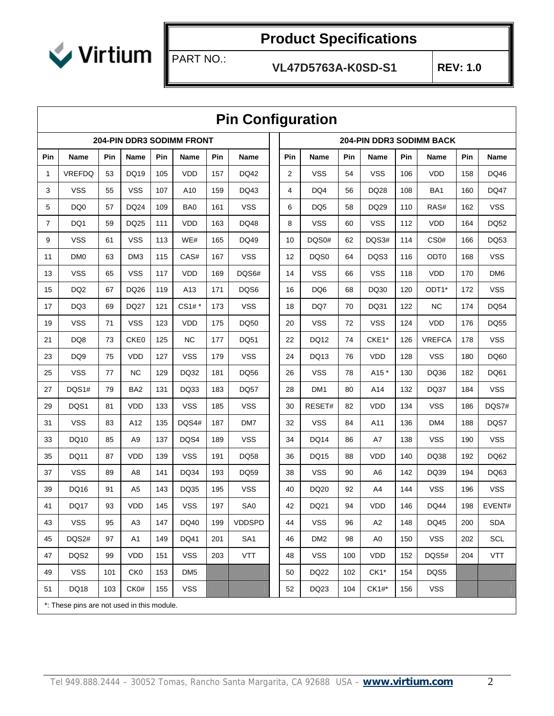

PART NO.:

|                |                                            |     |                 |            |                                  |     | <b>Pin Configuration</b> |     |                 |     |                |            |                                 |     |                 |
|----------------|--------------------------------------------|-----|-----------------|------------|----------------------------------|-----|--------------------------|-----|-----------------|-----|----------------|------------|---------------------------------|-----|-----------------|
|                |                                            |     |                 |            | <b>204-PIN DDR3 SODIMM FRONT</b> |     |                          |     |                 |     |                |            | <b>204-PIN DDR3 SODIMM BACK</b> |     |                 |
| Pin            | Name                                       | Pin | Name            | <b>Pin</b> | Name                             | Pin | Name                     | Pin | Name            | Pin | Name           | <b>Pin</b> | Name                            | Pin | Name            |
| 1              | <b>VREFDQ</b>                              | 53  | <b>DQ19</b>     | 105        | <b>VDD</b>                       | 157 | DQ42                     | 2   | VSS             | 54  | <b>VSS</b>     | 106        | <b>VDD</b>                      | 158 | DQ46            |
| 3              | <b>VSS</b>                                 | 55  | <b>VSS</b>      | 107        | A10                              | 159 | DQ43                     | 4   | DQ4             | 56  | <b>DQ28</b>    | 108        | BA1                             | 160 | <b>DQ47</b>     |
| 5              | DQ0                                        | 57  | DQ24            | 109        | BA0                              | 161 | <b>VSS</b>               | 6   | DQ <sub>5</sub> | 58  | DQ29           | 110        | RAS#                            | 162 | <b>VSS</b>      |
| $\overline{7}$ | DQ1                                        | 59  | <b>DQ25</b>     | 111        | <b>VDD</b>                       | 163 | <b>DQ48</b>              | 8   | <b>VSS</b>      | 60  | <b>VSS</b>     | 112        | <b>VDD</b>                      | 164 | <b>DQ52</b>     |
| 9              | <b>VSS</b>                                 | 61  | <b>VSS</b>      | 113        | WE#                              | 165 | DQ49                     | 10  | DQS0#           | 62  | DQS3#          | 114        | CS0#                            | 166 | <b>DQ53</b>     |
| 11             | DM <sub>0</sub>                            | 63  | DM3             | 115        | CAS#                             | 167 | <b>VSS</b>               | 12  | DQS0            | 64  | DQS3           | 116        | ODT <sub>0</sub>                | 168 | <b>VSS</b>      |
| 13             | <b>VSS</b>                                 | 65  | <b>VSS</b>      | 117        | <b>VDD</b>                       | 169 | DQS6#                    | 14  | <b>VSS</b>      | 66  | <b>VSS</b>     | 118        | <b>VDD</b>                      | 170 | DM <sub>6</sub> |
| 15             | DQ <sub>2</sub>                            | 67  | DQ26            | 119        | A13                              | 171 | DQS6                     | 16  | DQ <sub>6</sub> | 68  | DQ30           | 120        | ODT <sub>1</sub> *              | 172 | <b>VSS</b>      |
| 17             | DQ3                                        | 69  | <b>DQ27</b>     | 121        | CS1# *                           | 173 | <b>VSS</b>               | 18  | DQ7             | 70  | DQ31           | 122        | <b>NC</b>                       | 174 | <b>DQ54</b>     |
| 19             | <b>VSS</b>                                 | 71  | <b>VSS</b>      | 123        | <b>VDD</b>                       | 175 | DQ50                     | 20  | <b>VSS</b>      | 72  | <b>VSS</b>     | 124        | <b>VDD</b>                      | 176 | <b>DQ55</b>     |
| 21             | DQ8                                        | 73  | CKE0            | 125        | <b>NC</b>                        | 177 | DQ51                     | 22  | DQ12            | 74  | CKE1*          | 126        | <b>VREFCA</b>                   | 178 | <b>VSS</b>      |
| 23             | DQ <sub>9</sub>                            | 75  | <b>VDD</b>      | 127        | <b>VSS</b>                       | 179 | <b>VSS</b>               | 24  | DQ13            | 76  | <b>VDD</b>     | 128        | <b>VSS</b>                      | 180 | DQ60            |
| 25             | <b>VSS</b>                                 | 77  | <b>NC</b>       | 129        | DQ32                             | 181 | DQ56                     | 26  | <b>VSS</b>      | 78  | A15 *          | 130        | DQ36                            | 182 | DQ61            |
| 27             | DQS1#                                      | 79  | BA <sub>2</sub> | 131        | DQ33                             | 183 | <b>DQ57</b>              | 28  | DM <sub>1</sub> | 80  | A14            | 132        | DQ37                            | 184 | <b>VSS</b>      |
| 29             | DQS1                                       | 81  | <b>VDD</b>      | 133        | <b>VSS</b>                       | 185 | <b>VSS</b>               | 30  | RESET#          | 82  | <b>VDD</b>     | 134        | <b>VSS</b>                      | 186 | DQS7#           |
| 31             | <b>VSS</b>                                 | 83  | A12             | 135        | DQS4#                            | 187 | DM7                      | 32  | <b>VSS</b>      | 84  | A11            | 136        | DM4                             | 188 | DQS7            |
| 33             | DQ10                                       | 85  | A <sub>9</sub>  | 137        | DQS4                             | 189 | <b>VSS</b>               | 34  | DQ14            | 86  | A7             | 138        | <b>VSS</b>                      | 190 | <b>VSS</b>      |
| 35             | <b>DQ11</b>                                | 87  | <b>VDD</b>      | 139        | <b>VSS</b>                       | 191 | DQ58                     | 36  | DQ15            | 88  | <b>VDD</b>     | 140        | DQ38                            | 192 | DQ62            |
| 37             | <b>VSS</b>                                 | 89  | A <sub>8</sub>  | 141        | DQ34                             | 193 | DQ59                     | 38  | <b>VSS</b>      | 90  | A <sub>6</sub> | 142        | DQ39                            | 194 | DQ63            |
| 39             | DQ16                                       | 91  | A <sub>5</sub>  | 143        | DQ35                             | 195 | <b>VSS</b>               | 40  | DQ20            | 92  | A4             | 144        | <b>VSS</b>                      | 196 | <b>VSS</b>      |
| 41             | DQ17                                       | 93  | <b>VDD</b>      | 145        | <b>VSS</b>                       | 197 | SA0                      | 42  | DQ21            | 94  | <b>VDD</b>     | 146        | <b>DQ44</b>                     | 198 | EVENT#          |
| 43             | <b>VSS</b>                                 | 95  | A <sub>3</sub>  | 147        | DQ40                             | 199 | <b>VDDSPD</b>            | 44  | <b>VSS</b>      | 96  | A <sub>2</sub> | 148        | DQ45                            | 200 | <b>SDA</b>      |
| 45             | DQS2#                                      | 97  | A1              | 149        | DQ41                             | 201 | SA <sub>1</sub>          | 46  | DM <sub>2</sub> | 98  | A <sub>0</sub> | 150        | <b>VSS</b>                      | 202 | SCL             |
| 47             | DQS2                                       | 99  | <b>VDD</b>      | 151        | <b>VSS</b>                       | 203 | <b>VTT</b>               | 48  | <b>VSS</b>      | 100 | <b>VDD</b>     | 152        | DQS5#                           | 204 | <b>VTT</b>      |
| 49             | <b>VSS</b>                                 | 101 | CK <sub>0</sub> | 153        | DM <sub>5</sub>                  |     |                          | 50  | <b>DQ22</b>     | 102 | $CK1*$         | 154        | DQS5                            |     |                 |
| 51             | DQ18                                       | 103 | CK0#            | 155        | <b>VSS</b>                       |     |                          | 52  | DQ23            | 104 | $CK1#$ *       | 156        | <b>VSS</b>                      |     |                 |
|                | *: These pins are not used in this module. |     |                 |            |                                  |     |                          |     |                 |     |                |            |                                 |     |                 |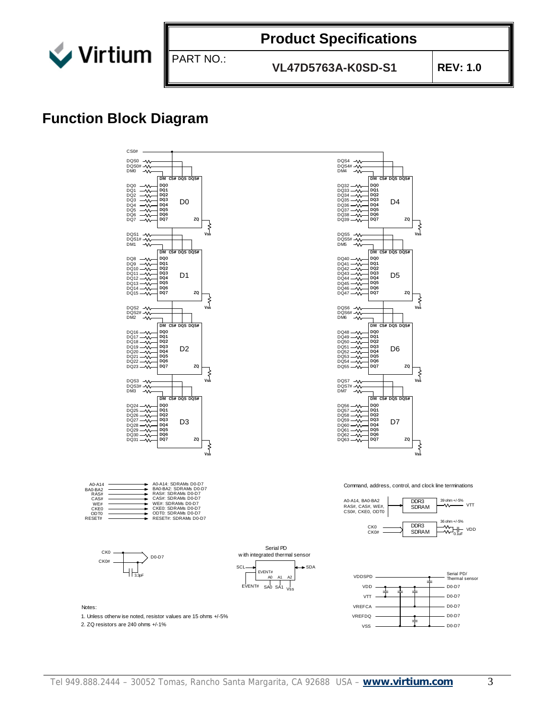

**VL47D5763A-K0SD-S1 REV: 1.0**

#### **Function Block Diagram**

PART NO.:

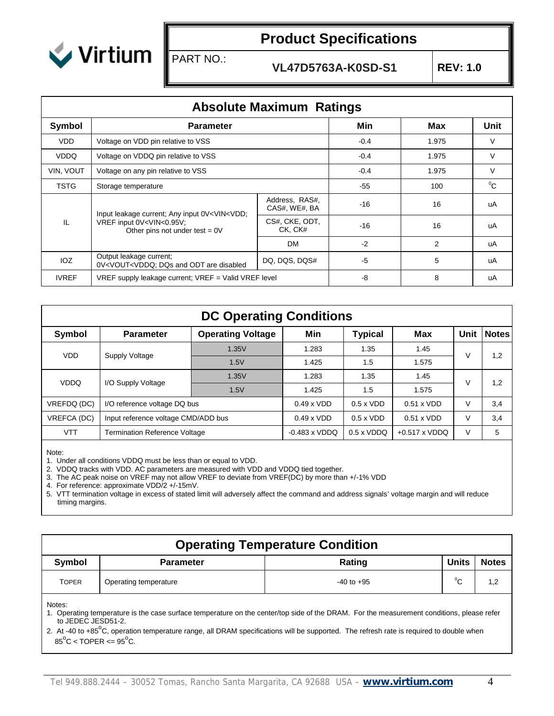

PART NO.:

**VL47D5763A-K0SD-S1 REV: 1.0**

|              | <b>Absolute Maximum Ratings</b>                                                                                                                                           |                                                          |        |            |        |  |  |  |  |  |  |
|--------------|---------------------------------------------------------------------------------------------------------------------------------------------------------------------------|----------------------------------------------------------|--------|------------|--------|--|--|--|--|--|--|
| Symbol       | <b>Parameter</b>                                                                                                                                                          |                                                          | Min    | <b>Max</b> | Unit   |  |  |  |  |  |  |
| <b>VDD</b>   | Voltage on VDD pin relative to VSS                                                                                                                                        |                                                          | $-0.4$ | 1.975      | V      |  |  |  |  |  |  |
| <b>VDDQ</b>  | Voltage on VDDQ pin relative to VSS                                                                                                                                       | $-0.4$                                                   | 1.975  | V          |        |  |  |  |  |  |  |
| VIN, VOUT    | Voltage on any pin relative to VSS                                                                                                                                        |                                                          | $-0.4$ | 1.975      | $\vee$ |  |  |  |  |  |  |
| <b>TSTG</b>  | Storage temperature                                                                                                                                                       | $-55$                                                    | 100    | $^0C$      |        |  |  |  |  |  |  |
|              | Input leakage current; Any input 0V <vin<vdd;< td=""><td>Address, RAS#,<br/>CAS#, WE#, BA</td><td><math>-16</math></td><td>16</td><td>uA</td></vin<vdd;<>                 | Address, RAS#,<br>CAS#, WE#, BA                          | $-16$  | 16         | uA     |  |  |  |  |  |  |
| IL           | VREF input 0V <vin<0.95v;<br>Other pins not under test = <math>0V</math></vin<0.95v;<br>                                                                                  | CS#, CKE, ODT,<br>CK, CK#                                | $-16$  | 16         | uA     |  |  |  |  |  |  |
|              |                                                                                                                                                                           | <b>DM</b>                                                | $-2$   | 2          | uA     |  |  |  |  |  |  |
| IOZ          | Output leakage current;<br>0V <vout<vddq; and="" are="" disabled<="" dqs="" odt="" td=""><td>DQ, DQS, DQS#</td><td><math>-5</math></td><td>5</td><td>uA</td></vout<vddq;> | DQ, DQS, DQS#                                            | $-5$   | 5          | uA     |  |  |  |  |  |  |
| <b>IVREF</b> |                                                                                                                                                                           | $VREF$ supply leakage current; $VREF = Valid VREF$ level |        |            |        |  |  |  |  |  |  |

|                    | <b>DC Operating Conditions</b>       |                          |                      |                   |                      |      |              |  |  |  |  |
|--------------------|--------------------------------------|--------------------------|----------------------|-------------------|----------------------|------|--------------|--|--|--|--|
| Symbol             | <b>Parameter</b>                     | <b>Operating Voltage</b> | Min                  | <b>Typical</b>    | Max                  | Unit | <b>Notes</b> |  |  |  |  |
| <b>VDD</b>         |                                      | 1.35V<br>1.283           |                      | 1.35              | 1.45                 | ν    | 1,2          |  |  |  |  |
|                    | Supply Voltage                       | 1.5V                     | 1.425                | 1.5               | 1.575                |      |              |  |  |  |  |
| <b>VDDQ</b>        | I/O Supply Voltage                   | 1.35V                    | 1.283                | 1.35              | 1.45                 | ν    | 1,2          |  |  |  |  |
|                    |                                      | 1.5V                     | 1.425                | 1.5               | 1.575                |      |              |  |  |  |  |
| VREFDQ (DC)        | I/O reference voltage DQ bus         |                          | $0.49 \times VDD$    | $0.5 \times VDD$  | $0.51 \times VDD$    | V    | 3,4          |  |  |  |  |
| <b>VREFCA (DC)</b> | Input reference voltage CMD/ADD bus  | $0.49 \times VDD$        | $0.5 \times VDD$     | $0.51 \times VDD$ | V                    | 3,4  |              |  |  |  |  |
| VTT                | <b>Termination Reference Voltage</b> |                          | $-0.483 \times VDDQ$ | $0.5 \times VDDQ$ | $+0.517 \times VDDQ$ | V    | 5            |  |  |  |  |

Note:

1. Under all conditions VDDQ must be less than or equal to VDD.

2. VDDQ tracks with VDD. AC parameters are measured with VDD and VDDQ tied together.

3. The AC peak noise on VREF may not allow VREF to deviate from VREF(DC) by more than +/-1% VDD

4. For reference: approximate VDD/2 +/-15mV.

5. VTT termination voltage in excess of stated limit will adversely affect the command and address signals' voltage margin and will reduce timing margins.

| <b>Operating Temperature Condition</b>                                    |                                                  |                                                                                                                                                                                                                                                                                                 |  |  |  |  |  |  |  |  |
|---------------------------------------------------------------------------|--------------------------------------------------|-------------------------------------------------------------------------------------------------------------------------------------------------------------------------------------------------------------------------------------------------------------------------------------------------|--|--|--|--|--|--|--|--|
| Units<br>Symbol<br>Rating<br><b>Parameter</b>                             |                                                  |                                                                                                                                                                                                                                                                                                 |  |  |  |  |  |  |  |  |
| <b>TOPER</b>                                                              | $^0C$<br>Operating temperature<br>$-40$ to $+95$ |                                                                                                                                                                                                                                                                                                 |  |  |  |  |  |  |  |  |
| Notes:<br>to JEDEC JESD51-2.<br>$85^{\circ}$ C < TOPER <= $95^{\circ}$ C. |                                                  | 1. Operating temperature is the case surface temperature on the center/top side of the DRAM. For the measurement conditions, please refer<br>2. At -40 to +85 $^{\circ}$ C, operation temperature range, all DRAM specifications will be supported. The refresh rate is required to double when |  |  |  |  |  |  |  |  |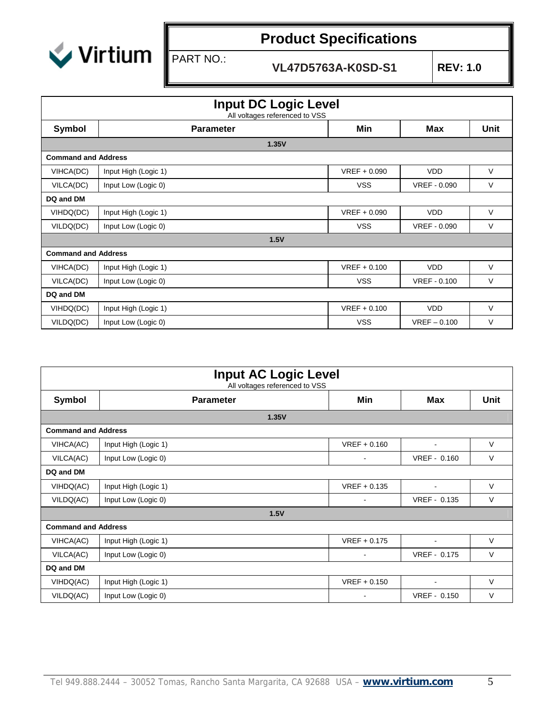

PART NO.:

# **Product Specifications**

| <b>Input DC Logic Level</b><br>All voltages referenced to VSS |                            |                |                     |        |  |  |  |  |  |  |
|---------------------------------------------------------------|----------------------------|----------------|---------------------|--------|--|--|--|--|--|--|
| Symbol                                                        | <b>Parameter</b>           | Min            | <b>Max</b>          | Unit   |  |  |  |  |  |  |
|                                                               | 1.35V                      |                |                     |        |  |  |  |  |  |  |
|                                                               | <b>Command and Address</b> |                |                     |        |  |  |  |  |  |  |
| VIHCA(DC)                                                     | Input High (Logic 1)       | $VREF + 0.090$ | <b>VDD</b>          | V      |  |  |  |  |  |  |
| VILCA(DC)                                                     | Input Low (Logic 0)        | <b>VSS</b>     | <b>VREF - 0.090</b> | V      |  |  |  |  |  |  |
| DQ and DM                                                     |                            |                |                     |        |  |  |  |  |  |  |
| VIHDQ(DC)                                                     | Input High (Logic 1)       | $VREF + 0.090$ | <b>VDD</b>          | V      |  |  |  |  |  |  |
| VILDQ(DC)                                                     | Input Low (Logic 0)        | <b>VSS</b>     | <b>VREF - 0.090</b> | V      |  |  |  |  |  |  |
|                                                               | 1.5V                       |                |                     |        |  |  |  |  |  |  |
| <b>Command and Address</b>                                    |                            |                |                     |        |  |  |  |  |  |  |
| VIHCA(DC)                                                     | Input High (Logic 1)       | $VREF + 0.100$ | <b>VDD</b>          | $\vee$ |  |  |  |  |  |  |
| VILCA(DC)                                                     | Input Low (Logic 0)        | <b>VSS</b>     | <b>VREF - 0.100</b> | V      |  |  |  |  |  |  |
| DQ and DM                                                     |                            |                |                     |        |  |  |  |  |  |  |
| VIHDQ(DC)                                                     | Input High (Logic 1)       | $VREF + 0.100$ | <b>VDD</b>          | V      |  |  |  |  |  |  |
| VILDQ(DC)                                                     | Input Low (Logic 0)        | <b>VSS</b>     | $VREF - 0.100$      | V      |  |  |  |  |  |  |

| <b>Input AC Logic Level</b><br>All voltages referenced to VSS |                      |                          |                |        |  |  |  |  |  |
|---------------------------------------------------------------|----------------------|--------------------------|----------------|--------|--|--|--|--|--|
| Symbol                                                        | <b>Parameter</b>     | Min                      | <b>Max</b>     | Unit   |  |  |  |  |  |
|                                                               | 1.35V                |                          |                |        |  |  |  |  |  |
| <b>Command and Address</b>                                    |                      |                          |                |        |  |  |  |  |  |
| VIHCA(AC)                                                     | Input High (Logic 1) | $VREF + 0.160$           | ٠              | $\vee$ |  |  |  |  |  |
| VILCA(AC)                                                     | Input Low (Logic 0)  | $\overline{\phantom{a}}$ | VREF - 0.160   | $\vee$ |  |  |  |  |  |
| DQ and DM                                                     |                      |                          |                |        |  |  |  |  |  |
| VIHDQ(AC)                                                     | Input High (Logic 1) | $VREF + 0.135$           | $\blacksquare$ | $\vee$ |  |  |  |  |  |
| VILDQ(AC)                                                     | Input Low (Logic 0)  | $\overline{\phantom{a}}$ | VREF - 0.135   | $\vee$ |  |  |  |  |  |
|                                                               | 1.5V                 |                          |                |        |  |  |  |  |  |
| <b>Command and Address</b>                                    |                      |                          |                |        |  |  |  |  |  |
| VIHCA(AC)                                                     | Input High (Logic 1) | $VREF + 0.175$           |                | $\vee$ |  |  |  |  |  |
| VILCA(AC)                                                     | Input Low (Logic 0)  | $\blacksquare$           | VREF - 0.175   | $\vee$ |  |  |  |  |  |
| DQ and DM                                                     |                      |                          |                |        |  |  |  |  |  |
| VIHDQ(AC)                                                     | Input High (Logic 1) | $VREF + 0.150$           | $\blacksquare$ | V      |  |  |  |  |  |
| VILDQ(AC)                                                     | Input Low (Logic 0)  |                          | VREF - 0.150   | $\vee$ |  |  |  |  |  |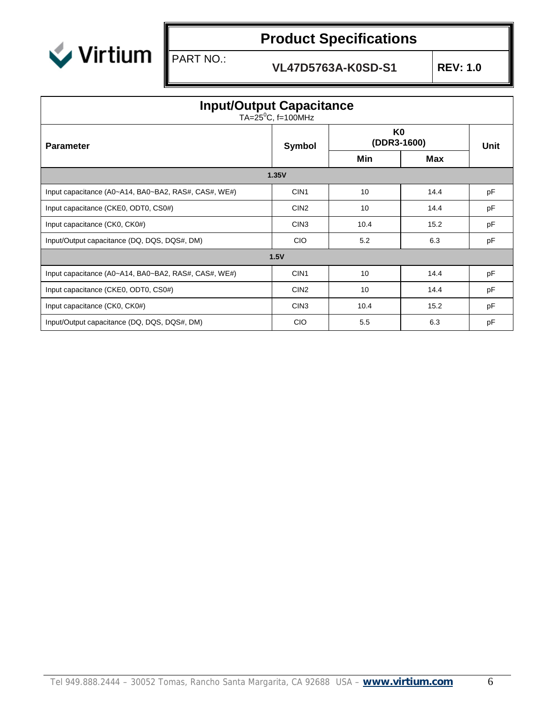

PART NO.:

| <b>Input/Output Capacitance</b><br>TA= $25^{\circ}$ C, f=100MHz |                  |                   |      |    |  |  |  |  |  |
|-----------------------------------------------------------------|------------------|-------------------|------|----|--|--|--|--|--|
| <b>Parameter</b>                                                | Symbol           | K0<br>(DDR3-1600) | Unit |    |  |  |  |  |  |
|                                                                 |                  |                   | Max  |    |  |  |  |  |  |
| 1.35V                                                           |                  |                   |      |    |  |  |  |  |  |
| Input capacitance (A0~A14, BA0~BA2, RAS#, CAS#, WE#)            | CIN <sub>1</sub> | 10                | 14.4 | pF |  |  |  |  |  |
| Input capacitance (CKE0, ODT0, CS0#)                            | CIN <sub>2</sub> | 10                | 14.4 | pF |  |  |  |  |  |
| Input capacitance (CK0, CK0#)                                   | CIN <sub>3</sub> | 10.4              | 15.2 | pF |  |  |  |  |  |
| Input/Output capacitance (DQ, DQS, DQS#, DM)                    | <b>CIO</b>       | 5.2               | 6.3  | pF |  |  |  |  |  |
|                                                                 | 1.5V             |                   |      |    |  |  |  |  |  |
| Input capacitance (A0~A14, BA0~BA2, RAS#, CAS#, WE#)            | CIN1             | 10                | 14.4 | pF |  |  |  |  |  |
| Input capacitance (CKE0, ODT0, CS0#)                            | CIN <sub>2</sub> | 10                | 14.4 | pF |  |  |  |  |  |
| Input capacitance (CK0, CK0#)                                   | CIN <sub>3</sub> | 10.4              | 15.2 | pF |  |  |  |  |  |
| Input/Output capacitance (DQ, DQS, DQS#, DM)                    | <b>CIO</b>       | 5.5               | 6.3  | pF |  |  |  |  |  |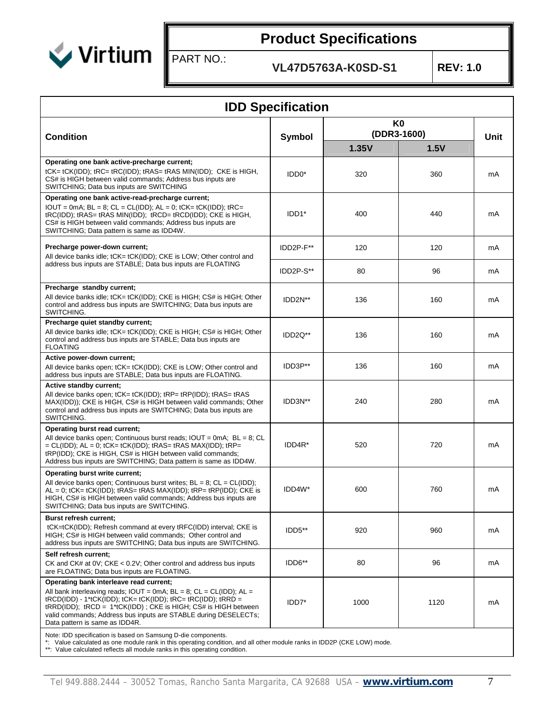

PART NO.:

**VL47D5763A-K0SD-S1 REV: 1.0**

| <b>IDD Specification</b>                                                                                                                                                                                                                                                                                                                                                                                                              |                      |                               |      |      |  |  |  |  |  |
|---------------------------------------------------------------------------------------------------------------------------------------------------------------------------------------------------------------------------------------------------------------------------------------------------------------------------------------------------------------------------------------------------------------------------------------|----------------------|-------------------------------|------|------|--|--|--|--|--|
|                                                                                                                                                                                                                                                                                                                                                                                                                                       |                      | K <sub>0</sub><br>(DDR3-1600) |      |      |  |  |  |  |  |
| <b>Condition</b>                                                                                                                                                                                                                                                                                                                                                                                                                      | Symbol               | 1.35V                         | 1.5V | Unit |  |  |  |  |  |
| Operating one bank active-precharge current;<br>tCK= tCK(IDD); tRC= tRC(IDD); tRAS= tRAS MIN(IDD); CKE is HIGH,<br>CS# is HIGH between valid commands; Address bus inputs are<br>SWITCHING; Data bus inputs are SWITCHING                                                                                                                                                                                                             | IDD <sub>0</sub> *   | 320                           | 360  | mA   |  |  |  |  |  |
| Operating one bank active-read-precharge current;<br>$IOUT = 0mA$ ; $BL = 8$ ; $CL = CL(IDD)$ ; $AL = 0$ ; $tCK = tCK(IDD)$ ; $tRC =$<br>tRC(IDD); tRAS= tRAS MIN(IDD); tRCD= tRCD(IDD); CKE is HIGH,<br>CS# is HIGH between valid commands; Address bus inputs are<br>SWITCHING; Data pattern is same as IDD4W.                                                                                                                      | IDD1*                | 400                           | 440  | mA   |  |  |  |  |  |
| Precharge power-down current;<br>All device banks idle; tCK= tCK(IDD); CKE is LOW; Other control and                                                                                                                                                                                                                                                                                                                                  | IDD2P-F**            | 120                           | 120  | mA   |  |  |  |  |  |
| address bus inputs are STABLE; Data bus inputs are FLOATING                                                                                                                                                                                                                                                                                                                                                                           | IDD2P-S**            | 80                            | 96   | mA   |  |  |  |  |  |
| Precharge standby current;<br>All device banks idle; tCK= tCK(IDD); CKE is HIGH; CS# is HIGH; Other<br>control and address bus inputs are SWITCHING; Data bus inputs are<br>SWITCHING.                                                                                                                                                                                                                                                | IDD <sub>2N</sub> ** | 136                           | 160  | mA   |  |  |  |  |  |
| Precharge quiet standby current;<br>All device banks idle; tCK= tCK(IDD); CKE is HIGH; CS# is HIGH; Other<br>control and address bus inputs are STABLE; Data bus inputs are<br><b>FLOATING</b>                                                                                                                                                                                                                                        | IDD <sub>2Q</sub> ** | 136                           | 160  | mA   |  |  |  |  |  |
| Active power-down current;<br>All device banks open; tCK= tCK(IDD); CKE is LOW; Other control and<br>address bus inputs are STABLE; Data bus inputs are FLOATING.                                                                                                                                                                                                                                                                     | IDD3P**              | 136                           | 160  | mA   |  |  |  |  |  |
| Active standby current;<br>All device banks open; tCK= tCK(IDD); tRP= tRP(IDD); tRAS= tRAS<br>MAX(IDD)); CKE is HIGH, CS# is HIGH between valid commands; Other<br>control and address bus inputs are SWITCHING; Data bus inputs are<br>SWITCHING.                                                                                                                                                                                    | IDD3N**              | 240                           | 280  | mA   |  |  |  |  |  |
| Operating burst read current;<br>All device banks open; Continuous burst reads; $IOUT = 0mA$ ; $BL = 8$ ; CL<br>$= CL(IDD); AL = 0; tCK = tCK(IDD); tRAS = tRAS MAX(IDD); tRP = 0$<br>tRP(IDD); CKE is HIGH, CS# is HIGH between valid commands;<br>Address bus inputs are SWITCHING; Data pattern is same as IDD4W.                                                                                                                  | IDD4R*               | 520                           | 720  | mA   |  |  |  |  |  |
| Operating burst write current;<br>All device banks open; Continuous burst writes; $BL = 8$ ; $CL = CL(ID);$<br>AL = 0; tCK= tCK(IDD); tRAS= tRAS MAX(IDD); tRP= tRP(IDD); CKE is<br>HIGH, CS# is HIGH between valid commands; Address bus inputs are<br>SWITCHING: Data bus inputs are SWITCHING.                                                                                                                                     | IDD4W*               | 600                           | 760  | mA   |  |  |  |  |  |
| Burst refresh current;<br>tCK=tCK(IDD); Refresh command at every tRFC(IDD) interval; CKE is<br>HIGH; CS# is HIGH between valid commands; Other control and<br>address bus inputs are SWITCHING; Data bus inputs are SWITCHING.                                                                                                                                                                                                        | IDD5**               | 920                           | 960  | mA   |  |  |  |  |  |
| Self refresh current;<br>CK and CK# at 0V; CKE < 0.2V; Other control and address bus inputs<br>are FLOATING; Data bus inputs are FLOATING.                                                                                                                                                                                                                                                                                            | IDD6**               | 80                            | 96   | mA   |  |  |  |  |  |
| Operating bank interleave read current;<br>All bank interleaving reads; $IOUT = 0mA$ ; $BL = 8$ ; $CL = CL(IDD)$ ; $AL =$<br>$tRCD(IDD) - 1*tCK(IDD); tCK = tCK(IDD); tRC = tRC(IDD); tRRD =$<br>tRRD(IDD); tRCD = 1*tCK(IDD); CKE is HIGH; CS# is HIGH between<br>valid commands; Address bus inputs are STABLE during DESELECTs;<br>Data pattern is same as IDD4R.<br>Note: IDD specification is based on Samsung D-die components. | IDD7*                | 1000                          | 1120 | mA   |  |  |  |  |  |

\*: Value calculated as one module rank in this operating condition, and all other module ranks in IDD2P (CKE LOW) mode.

\*\*: Value calculated reflects all module ranks in this operating condition.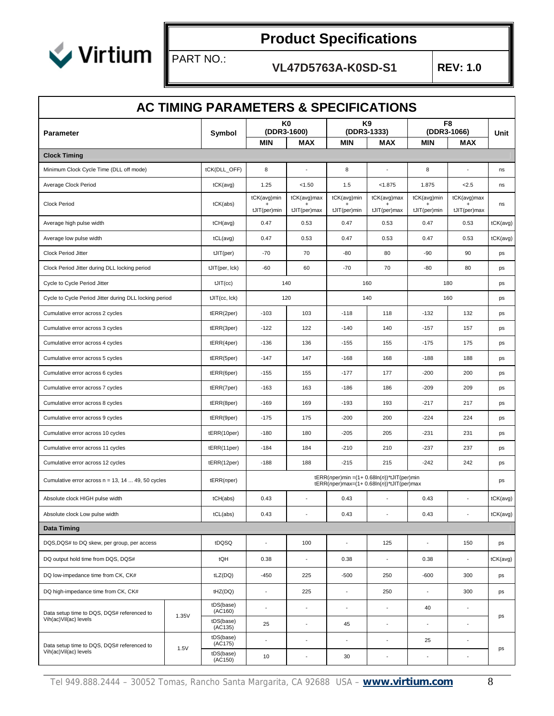

PART NO.:

|                                                        |       | <b>AC TIMING PARAMETERS &amp; SPECIFICATIONS</b> |                             |                               |                             |                                                                                                 |                             |                               |          |
|--------------------------------------------------------|-------|--------------------------------------------------|-----------------------------|-------------------------------|-----------------------------|-------------------------------------------------------------------------------------------------|-----------------------------|-------------------------------|----------|
| <b>Parameter</b>                                       |       | Symbol                                           |                             | K <sub>0</sub><br>(DDR3-1600) |                             | K9<br>(DDR3-1333)                                                                               |                             | F <sub>8</sub><br>(DDR3-1066) | Unit     |
|                                                        |       |                                                  | MIN                         | <b>MAX</b>                    | MIN                         | MAX                                                                                             | MIN                         | MAX                           |          |
| <b>Clock Timing</b>                                    |       |                                                  |                             |                               |                             |                                                                                                 |                             |                               |          |
| Minimum Clock Cycle Time (DLL off mode)                |       | tCK(DLL_OFF)                                     | 8                           |                               | 8                           | ÷,                                                                                              | 8                           |                               | ns       |
| Average Clock Period                                   |       | $tCK(\text{avg})$                                | 1.25                        | < 1.50                        | 1.5                         | < 1.875                                                                                         | 1.875                       | 2.5                           | ns       |
| Clock Period                                           |       | tCK(abs)                                         | tCK(avg)min<br>tJIT(per)min | tCK(avg)max<br>tJIT(per)max   | tCK(avg)min<br>tJIT(per)min | tCK(avg)max<br>tJIT(per)max                                                                     | tCK(avg)min<br>tJIT(per)min | tCK(avg)max<br>tJIT(per)max   | ns       |
| Average high pulse width                               |       | tCH(avg)                                         | 0.47                        | 0.53                          | 0.47                        | 0.53                                                                                            | 0.47                        | 0.53                          | tCK(avg) |
| Average low pulse width                                |       | tCL(avg)                                         | 0.47                        | 0.53                          | 0.47                        | 0.53                                                                                            | 0.47                        | 0.53                          | tCK(avg) |
| Clock Period Jitter                                    |       | tJIT(per)                                        | $-70$                       | 70                            | -80                         | 80                                                                                              | $-90$                       | 90                            | ps       |
| Clock Period Jitter during DLL locking period          |       | tJIT(per, Ick)                                   | $-60$                       | 60                            | $-70$                       | 70                                                                                              | $-80$                       | 80                            | ps       |
| Cycle to Cycle Period Jitter                           |       |                                                  |                             | 140                           |                             | 160                                                                                             |                             | 180                           | ps       |
| Cycle to Cycle Period Jitter during DLL locking period |       | tJIT(cc, Ick)                                    |                             | 120                           |                             | 140                                                                                             |                             | 160                           | ps       |
| Cumulative error across 2 cycles                       |       | tERR(2per)                                       | $-103$                      | 103                           | $-118$                      | 118                                                                                             | $-132$                      | 132                           | ps       |
| Cumulative error across 3 cycles                       |       | tERR(3per)                                       | $-122$                      | 122                           | $-140$                      | 140                                                                                             | $-157$                      | 157                           | ps       |
| Cumulative error across 4 cycles                       |       | tERR(4per)                                       | $-136$                      | 136                           | $-155$                      | 155                                                                                             | $-175$                      | 175                           | ps       |
| Cumulative error across 5 cycles                       |       | tERR(5per)                                       | $-147$                      | 147                           | $-168$                      | 168                                                                                             | $-188$                      | 188                           | ps       |
| Cumulative error across 6 cycles                       |       | tERR(6per)                                       | $-155$                      | 155                           | $-177$                      | 177                                                                                             | $-200$                      | 200                           | ps       |
| Cumulative error across 7 cycles                       |       | tERR(7per)                                       | $-163$                      | 163                           | $-186$                      | 186                                                                                             | $-209$                      | 209                           | ps       |
| Cumulative error across 8 cycles                       |       | tERR(8per)                                       | $-169$                      | 169                           | $-193$                      | 193                                                                                             | $-217$                      | 217                           | ps       |
| Cumulative error across 9 cycles                       |       | tERR(9per)                                       | $-175$                      | 175                           | $-200$                      | 200                                                                                             | $-224$                      | 224                           | ps       |
| Cumulative error across 10 cycles                      |       | tERR(10per)                                      | $-180$                      | 180                           | $-205$                      | 205                                                                                             | $-231$                      | 231                           | ps       |
| Cumulative error across 11 cycles                      |       | tERR(11per)                                      | $-184$                      | 184                           | $-210$                      | 210                                                                                             | $-237$                      | 237                           | ps       |
| Cumulative error across 12 cycles                      |       | tERR(12per)                                      | $-188$                      | 188                           | $-215$                      | 215                                                                                             | $-242$                      | 242                           | ps       |
| Cumulative error across $n = 13, 14 49, 50$ cycles     |       | tERR(nper)                                       |                             |                               |                             | $tERR(nper)min = (1 + 0.68ln(n))$ *tJIT(per)min<br>$tERR(nper)max=(1+ 0.68ln(n))$ *tJIT(per)max |                             |                               | ps       |
| Absolute clock HIGH pulse width                        |       | tCH(abs)                                         | 0.43                        |                               | 0.43                        | $\overline{\phantom{a}}$                                                                        | 0.43                        | $\blacksquare$                | tCK(avg) |
| Absolute clock Low pulse width                         |       | tCL(abs)                                         | 0.43                        | $\overline{\phantom{a}}$      | 0.43                        | $\overline{\phantom{a}}$                                                                        | 0.43                        | $\overline{\phantom{a}}$      | tCK(avg) |
| <b>Data Timing</b>                                     |       |                                                  |                             |                               |                             |                                                                                                 |                             |                               |          |
| DQS, DQS# to DQ skew, per group, per access            |       | tDQSQ                                            | $\blacksquare$              | 100                           | $\sim$                      | 125                                                                                             | $\blacksquare$              | 150                           | ps       |
| DQ output hold time from DQS, DQS#                     |       | tQH                                              | 0.38                        | $\blacksquare$                | 0.38                        | $\blacksquare$                                                                                  | 0.38                        | $\blacksquare$                | tCK(avg) |
| DQ low-impedance time from CK, CK#                     |       | tLZ(DQ)                                          | $-450$                      | 225                           | $-500$                      | 250                                                                                             | $-600$                      | 300                           | ps       |
| DQ high-impedance time from CK, CK#                    |       | tHZ(DQ)                                          | $\blacksquare$              | 225                           | $\overline{\phantom{a}}$    | 250                                                                                             | $\blacksquare$              | 300                           | ps       |
| Data setup time to DQS, DQS# referenced to             |       | tDS(base)<br>(AC160)                             | $\overline{a}$              | $\blacksquare$                | $\sim$                      | $\overline{\phantom{a}}$                                                                        | 40                          | $\blacksquare$                |          |
| Vih(ac)Vil(ac) levels                                  | 1.35V | tDS(base)<br>(AC135)                             | 25                          | $\overline{a}$                | 45                          | $\overline{\phantom{a}}$                                                                        | $\overline{a}$              | $\blacksquare$                | ps       |
| Data setup time to DQS, DQS# referenced to             |       | tDS(base)<br>(AC175)                             | ÷,                          | ÷,                            | $\sim$                      | $\blacksquare$                                                                                  | 25                          | $\blacksquare$                |          |
| Vih(ac)Vil(ac) levels                                  | 1.5V  | tDS(base)<br>(AC150)                             | 10                          | $\overline{\phantom{a}}$      | 30                          | ÷,                                                                                              |                             |                               | ps       |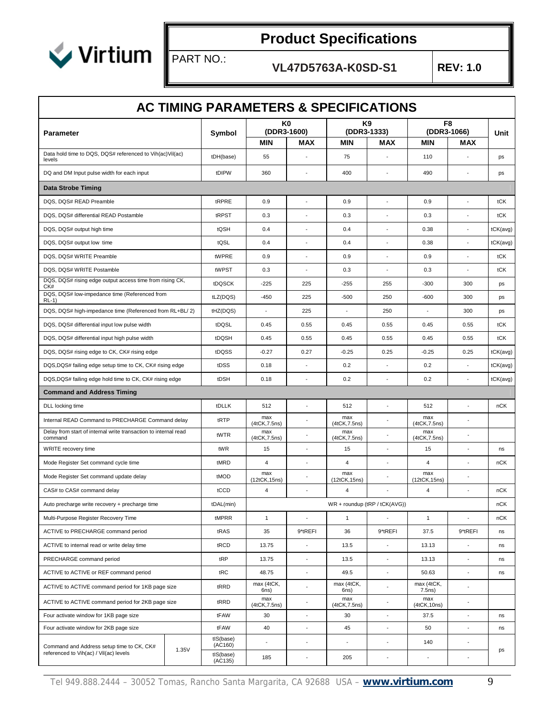

PART NO.:

|                                                                            |       | AC TIMING PARAMETERS & SPECIFICATIONS |                          | K0                       |                      | K9                            |                      | F8                       |          |
|----------------------------------------------------------------------------|-------|---------------------------------------|--------------------------|--------------------------|----------------------|-------------------------------|----------------------|--------------------------|----------|
| <b>Parameter</b>                                                           |       | Symbol                                | (DDR3-1600)              |                          |                      | (DDR3-1333)                   |                      | (DDR3-1066)              | Unit     |
|                                                                            |       |                                       | <b>MIN</b>               | MAX                      | MIN                  | MAX                           | <b>MIN</b>           | <b>MAX</b>               |          |
| Data hold time to DQS, DQS# referenced to Vih(ac)Vil(ac)<br>levels         |       | tDH(base)                             | 55                       |                          | 75                   |                               | 110                  |                          | ps       |
| DQ and DM Input pulse width for each input                                 |       | tDIPW                                 | 360                      | ٠                        | 400                  |                               | 490                  | ÷                        | ps       |
| <b>Data Strobe Timing</b>                                                  |       |                                       |                          |                          |                      |                               |                      |                          |          |
| DQS, DQS# READ Preamble                                                    |       | tRPRE                                 | 0.9                      | ÷,                       | 0.9                  | $\overline{\phantom{a}}$      | 0.9                  | ÷,                       | tCK      |
| DQS, DQS# differential READ Postamble                                      |       | tRPST                                 | 0.3                      |                          | 0.3                  |                               | 0.3                  | l,                       | tCK      |
| DQS, DQS# output high time                                                 |       | tQSH                                  | 0.4                      |                          | 0.4                  |                               | 0.38                 | ÷                        | tCK(avg) |
| DQS, DQS# output low time                                                  |       | tQSL                                  | 0.4                      |                          | 0.4                  |                               | 0.38                 |                          | tCK(avg) |
| DQS, DQS# WRITE Preamble                                                   |       | tWPRE                                 | 0.9                      | ÷,                       | 0.9                  | $\overline{\phantom{a}}$      | 0.9                  | ÷                        | tCK      |
| DQS, DQS# WRITE Postamble                                                  |       | tWPST                                 | 0.3                      |                          | 0.3                  |                               | 0.3                  |                          | tCK      |
| DQS, DQS# rising edge output access time from rising CK,<br>CK#            |       | tDQSCK                                | $-225$                   | 225                      | -255                 | 255                           | $-300$               | 300                      | ps       |
| DQS, DQS# low-impedance time (Referenced from<br>RL-1)                     |       | tLZ(DQS)                              | $-450$                   | 225                      | $-500$               | 250                           | $-600$               | 300                      | ps       |
| DQS, DQS# high-impedance time (Referenced from RL+BL/ 2)                   |       | tHZ(DQS)                              | ÷,                       | 225                      | $\blacksquare$       | 250                           | $\blacksquare$       | 300                      | ps       |
| DQS, DQS# differential input low pulse width                               |       | tDQSL                                 | 0.45                     | 0.55                     | 0.45                 | 0.55                          | 0.45                 | 0.55                     | tCK      |
| DQS, DQS# differential input high pulse width                              |       | tDQSH                                 | 0.45                     | 0.55                     | 0.45                 | 0.55                          | 0.45                 | 0.55                     | tCK      |
| DQS, DQS# rising edge to CK, CK# rising edge                               |       | tDQSS                                 | $-0.27$                  | 0.27                     | $-0.25$              | 0.25                          | $-0.25$              | 0.25                     | tCK(avg) |
| DQS, DQS# failing edge setup time to CK, CK# rising edge                   |       | tDSS                                  | 0.18                     | ÷.                       | 0.2                  | $\overline{a}$                | 0.2                  | $\blacksquare$           | tCK(avg) |
| DQS,DQS# failing edge hold time to CK, CK# rising edge                     |       | tDSH                                  | 0.18                     | $\overline{\phantom{a}}$ | 0.2                  |                               | 0.2                  | ٠                        | tCK(avg) |
| <b>Command and Address Timing</b>                                          |       |                                       |                          |                          |                      |                               |                      |                          |          |
| DLL locking time                                                           |       | tDLLK                                 | 512                      |                          | 512                  |                               | 512                  |                          | nCK      |
| Internal READ Command to PRECHARGE Command delay                           |       | tRTP                                  | max<br>(4tCK, 7.5ns)     |                          | max<br>(4tCK, 7.5ns) | ÷,                            | max<br>(4tCK, 7.5ns) | ÷,                       |          |
| Delay from start of internal write transaction to internal read<br>command |       | tWTR                                  | max<br>(4tCK, 7.5ns)     |                          | max<br>(4tCK, 7.5ns) |                               | max<br>(4tCK, 7.5ns) | ÷,                       |          |
| WRITE recovery time                                                        |       | tWR                                   | 15                       |                          | 15                   |                               | 15                   |                          | ns       |
| Mode Register Set command cycle time                                       |       | tMRD                                  | $\overline{4}$           |                          | 4                    | ÷,                            | 4                    | $\blacksquare$           | nCK      |
| Mode Register Set command update delay                                     |       | tMOD                                  | max<br>(12tCK, 15ns)     | $\blacksquare$           | max<br>(12tCK, 15ns) |                               | max<br>(12tCK, 15ns) | ÷                        |          |
| CAS# to CAS# command delay                                                 |       | tCCD                                  | 4                        |                          | 4                    |                               | 4                    | $\blacksquare$           | nCK      |
| Auto precharge write recovery + precharge time                             |       | tDAL(min)                             |                          |                          |                      | WR + roundup (tRP / tCK(AVG)) |                      |                          | nCK      |
| Multi-Purpose Register Recovery Time                                       |       | tMPRR                                 | $\mathbf{1}$             |                          | $\mathbf{1}$         |                               | $\mathbf{1}$         |                          | nCK      |
| ACTIVE to PRECHARGE command period                                         |       | tRAS                                  | 35                       | 9*tREFI                  | 36                   | 9*tREFI                       | 37.5                 | 9*tREFI                  | ns       |
| ACTIVE to internal read or write delay time                                |       | tRCD                                  | 13.75                    |                          | 13.5                 | $\overline{\phantom{a}}$      | 13.13                |                          | ns       |
| PRECHARGE command period                                                   |       | tRP                                   | 13.75                    | $\overline{\phantom{a}}$ | 13.5                 | $\blacksquare$                | 13.13                | $\overline{\phantom{a}}$ | ns       |
| ACTIVE to ACTIVE or REF command period                                     |       | tRC                                   | 48.75                    |                          | 49.5                 | $\overline{a}$                | 50.63                | $\blacksquare$           | ns       |
| ACTIVE to ACTIVE command period for 1KB page size                          |       | tRRD                                  | max (4tCK,<br>6ns)       | ÷,                       | max (4tCK,<br>6ns)   | ÷,                            | max (4tCK,<br>7.5ns) | $\blacksquare$           |          |
| ACTIVE to ACTIVE command period for 2KB page size                          |       | tRRD                                  | max<br>(4tCK, 7.5ns)     | $\overline{\phantom{a}}$ | max<br>(4tCK, 7.5ns) | ÷,                            | max<br>(4tCK, 10ns)  | $\blacksquare$           |          |
| Four activate window for 1KB page size                                     |       | tFAW                                  | 30                       |                          | 30                   | $\overline{\phantom{a}}$      | 37.5                 | $\blacksquare$           | ns       |
| Four activate window for 2KB page size                                     |       | tFAW                                  | 40                       |                          | 45                   |                               | 50                   |                          | ns       |
| Command and Address setup time to CK, CK#                                  |       | tIS(base)<br>(AC160)                  | $\overline{\phantom{a}}$ | $\sim$                   | $\blacksquare$       | $\blacksquare$                | 140                  | $\blacksquare$           |          |
| referenced to Vih(ac) / Vil(ac) levels                                     | 1.35V | tIS(base)<br>(AC135)                  | 185                      | ÷,                       | 205                  | $\blacksquare$                | $\blacksquare$       | $\blacksquare$           | ps       |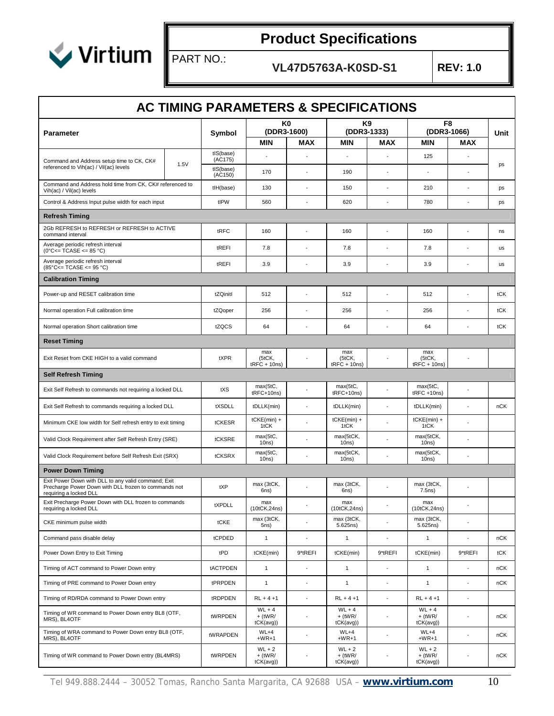

PART NO.:

|                                                                                                                                       |      | <b>AC TIMING PARAMETERS &amp; SPECIFICATIONS</b> |                                    |                          |                                    |                          |                                    |                |      |
|---------------------------------------------------------------------------------------------------------------------------------------|------|--------------------------------------------------|------------------------------------|--------------------------|------------------------------------|--------------------------|------------------------------------|----------------|------|
| <b>Parameter</b>                                                                                                                      |      | Symbol                                           | (DDR3-1600)                        | K0                       | K9<br>(DDR3-1333)                  |                          | F8<br>(DDR3-1066)                  |                | Unit |
|                                                                                                                                       |      |                                                  | <b>MIN</b>                         | <b>MAX</b>               | <b>MIN</b>                         | <b>MAX</b>               | <b>MIN</b>                         | <b>MAX</b>     |      |
| Command and Address setup time to CK, CK#<br>referenced to Vih(ac) / Vil(ac) levels                                                   | 1.5V | tIS(base)<br>(AC175)<br>tIS(base)                |                                    |                          |                                    |                          | 125                                |                | ps   |
| Command and Address hold time from CK, CK# referenced to                                                                              |      | (AC150)                                          | 170                                |                          | 190                                |                          |                                    |                |      |
| Vih(ac) / Vil(ac) levels                                                                                                              |      | tlH(base)                                        | 130                                | $\overline{\phantom{a}}$ | 150                                | ÷,                       | 210                                |                | ps   |
| Control & Address Input pulse width for each input                                                                                    |      | tIPW                                             | 560                                | $\overline{a}$           | 620                                | ÷,                       | 780                                | $\overline{a}$ | ps   |
| <b>Refresh Timing</b>                                                                                                                 |      |                                                  |                                    |                          |                                    |                          |                                    |                |      |
| 2Gb REFRESH to REFRESH or REFRESH to ACTIVE<br>command interval                                                                       |      | tRFC                                             | 160                                |                          | 160                                | ÷                        | 160                                |                | ns   |
| Average periodic refresh interval<br>$(0^{\circ}$ C<= TCASE <= 85 °C)                                                                 |      | tREFI                                            | 7.8                                |                          | 7.8                                |                          | 7.8                                |                | us   |
| Average periodic refresh interval<br>$(85^{\circ}$ C<= TCASE <= 95 °C)                                                                |      | tREFI                                            | 3.9                                |                          | 3.9                                |                          | 3.9                                |                | us   |
| <b>Calibration Timing</b>                                                                                                             |      |                                                  |                                    |                          |                                    |                          |                                    |                |      |
| Power-up and RESET calibration time                                                                                                   |      | tZQinitl                                         | 512                                |                          | 512                                | ÷,                       | 512                                | ÷,             | tCK  |
| Normal operation Full calibration time                                                                                                |      | tZQoper                                          | 256                                |                          | 256                                | ÷,                       | 256                                | ÷,             | tCK  |
| Normal operation Short calibration time                                                                                               |      | tZQCS                                            | 64                                 |                          | 64                                 | $\sim$                   | 64                                 | ÷,             | tCK  |
| <b>Reset Timing</b>                                                                                                                   |      |                                                  |                                    |                          |                                    |                          |                                    |                |      |
| Exit Reset from CKE HIGH to a valid command                                                                                           |      | tXPR                                             | max<br>(5tCK,<br>$tRFC + 10ns$     | $\overline{\phantom{a}}$ | max<br>(5tCK,<br>$tRFC + 10ns$     |                          | max<br>(5tCK,<br>$tRFC + 10ns$     |                |      |
| Self Refresh Timing                                                                                                                   |      |                                                  |                                    |                          |                                    |                          |                                    |                |      |
| Exit Self Refresh to commands not requiring a locked DLL                                                                              |      | tXS                                              | max(5tC,<br>tRFC+10ns)             |                          | max(5tC,<br>tRFC+10ns)             |                          | max(5tC,<br>$tRFC + 10ns$          |                |      |
| Exit Self Refresh to commands requiring a locked DLL                                                                                  |      | tXSDLL                                           | tDLLK(min)                         |                          | tDLLK(min)                         | ÷,                       | tDLLK(min)                         |                | nCK  |
| Minimum CKE low width for Self refresh entry to exit timing                                                                           |      | tCKESR                                           | $tCKE(min) +$<br>1tCK              |                          | tCKE(min) +<br>1tCK                |                          | $tCKE(min) +$<br>1tCK              |                |      |
| Valid Clock Requirement after Self Refresh Entry (SRE)                                                                                |      | tCKSRE                                           | max(5tC,<br>10ns)                  |                          | max(5tCK,<br>10ns)                 |                          | max(5tCK,<br>10ns)                 |                |      |
| Valid Clock Requirement before Self Refresh Exit (SRX)                                                                                |      | tCKSRX                                           | max(5tC,<br>10ns)                  |                          | max(5tCK,<br>10ns)                 |                          | max(5tCK,<br>10ns)                 |                |      |
| <b>Power Down Timing</b>                                                                                                              |      |                                                  |                                    |                          |                                    |                          |                                    |                |      |
| Exit Power Down with DLL to any valid command; Exit<br>Precharge Power Down with DLL frozen to commands not<br>requiring a locked DLL |      | tXP                                              | max (3tCK,<br>6ns)                 |                          | max (3tCK,<br>6ns)                 |                          | max (3tCK,<br>7.5ns)               |                |      |
| Exit Precharge Power Down with DLL frozen to commands<br>requiring a locked DLL                                                       |      | tXPDLL                                           | max<br>(10tCK, 24ns)               | $\blacksquare$           | max<br>(10tCK, 24ns)               | $\overline{\phantom{a}}$ | max<br>(10tCK, 24ns)               | $\blacksquare$ |      |
| CKE minimum pulse width                                                                                                               |      | tCKE                                             | max (3tCK,<br>5ns)                 | ÷,                       | max (3tCK,<br>5.625ns)             | $\overline{a}$           | max (3tCK,<br>5.625ns)             | $\blacksquare$ |      |
| Command pass disable delay                                                                                                            |      | tCPDED                                           | $\mathbf{1}$                       | $\overline{\phantom{a}}$ | $\mathbf{1}$                       | $\overline{a}$           | $\mathbf{1}$                       |                | nCK  |
| Power Down Entry to Exit Timing                                                                                                       |      | tPD                                              | tCKE(min)                          | 9*tREFI                  | tCKE(min)                          | 9*tREFI                  | tCKE(min)                          | 9*tREFI        | tCK  |
| Timing of ACT command to Power Down entry                                                                                             |      | tACTPDEN                                         | $\mathbf{1}$                       | $\overline{\phantom{a}}$ | $\mathbf{1}$                       | $\overline{a}$           | $\mathbf{1}$                       |                | nCK  |
| Timing of PRE command to Power Down entry                                                                                             |      | tPRPDEN                                          | $\mathbf{1}$                       | $\overline{a}$           | $\mathbf{1}$                       | ÷,                       | $\mathbf{1}$                       |                | nCK  |
| Timing of RD/RDA command to Power Down entry                                                                                          |      | tRDPDEN                                          | $RL + 4 + 1$                       | $\blacksquare$           | $RL + 4 + 1$                       | $\blacksquare$           | $RL + 4 + 1$                       | $\blacksquare$ |      |
| Timing of WR command to Power Down entry BL8 (OTF,<br>MRS), BL4OTF                                                                    |      | tWRPDEN                                          | $WL + 4$<br>$+$ (tWR/<br>tCK(avg)) | $\overline{\phantom{a}}$ | $WL + 4$<br>$+$ (tWR/<br>tCK(avg)) | $\overline{\phantom{a}}$ | $WL + 4$<br>$+$ (tWR/<br>tCK(avg)  | $\sim$         | nCK  |
| Timing of WRA command to Power Down entry BL8 (OTF,<br>MRS), BL4OTF                                                                   |      | tWRAPDEN                                         | $WL+4$<br>$+WR+1$                  | $\blacksquare$           | WL+4<br>$+WR+1$                    | $\overline{\phantom{a}}$ | $WL+4$<br>$+WR+1$                  |                | nCK  |
| Timing of WR command to Power Down entry (BL4MRS)                                                                                     |      | tWRPDEN                                          | $WL + 2$<br>$+$ (tWR/<br>tCK(avg)  |                          | $WL + 2$<br>$+$ (tWR/<br>tCK(avg)) | ÷                        | $WL + 2$<br>$+$ (tWR/<br>tCK(avg)) |                | nCK  |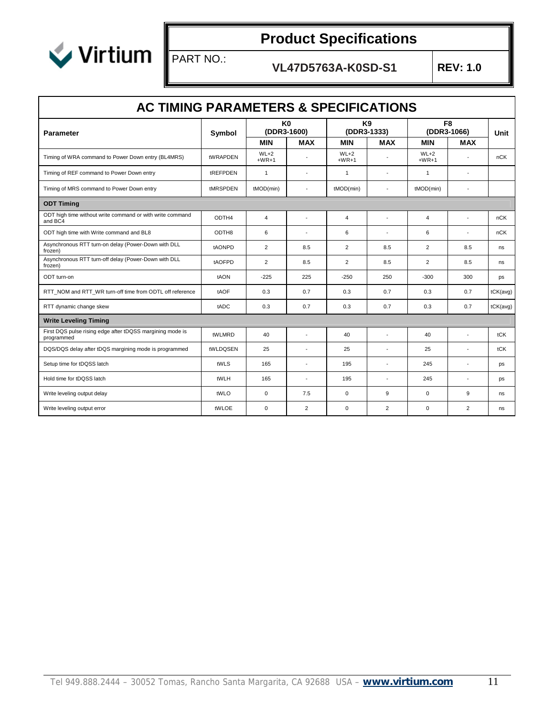

PART NO.:

| <b>AC TIMING PARAMETERS &amp; SPECIFICATIONS</b>                                 |          |                               |                          |                               |                          |                               |                          |          |  |
|----------------------------------------------------------------------------------|----------|-------------------------------|--------------------------|-------------------------------|--------------------------|-------------------------------|--------------------------|----------|--|
| <b>Parameter</b>                                                                 | Symbol   | K <sub>0</sub><br>(DDR3-1600) |                          | K <sub>9</sub><br>(DDR3-1333) |                          | F <sub>8</sub><br>(DDR3-1066) |                          | Unit     |  |
|                                                                                  |          | <b>MIN</b>                    | <b>MAX</b>               | <b>MIN</b>                    | <b>MAX</b>               | <b>MIN</b>                    | <b>MAX</b>               |          |  |
| Timing of WRA command to Power Down entry (BL4MRS)                               | tWRAPDEN | $WL+2$<br>$+WR+1$             |                          | $WL+2$<br>$+WR+1$             |                          | $WL+2$<br>$+WR+1$             |                          | nCK      |  |
| Timing of REF command to Power Down entry                                        | tREFPDEN | $\mathbf{1}$                  | ٠                        | $\mathbf{1}$                  | $\overline{\phantom{a}}$ | $\mathbf{1}$                  | $\sim$                   |          |  |
| Timing of MRS command to Power Down entry                                        | tMRSPDEN | tMOD(min)                     | ٠                        | tMOD(min)                     | $\blacksquare$           | tMOD(min)                     | $\sim$                   |          |  |
| <b>ODT Timing</b>                                                                |          |                               |                          |                               |                          |                               |                          |          |  |
| ODT high time without write command or with write command<br>and BC <sub>4</sub> | ODTH4    | $\overline{4}$                | $\overline{\phantom{a}}$ | $\overline{4}$                | $\overline{\phantom{a}}$ | $\overline{4}$                | $\overline{\phantom{a}}$ | nCK      |  |
| ODT high time with Write command and BL8                                         | ODTH8    | 6                             | ٠                        | 6                             | $\overline{\phantom{a}}$ | 6                             | ٠                        | nCK      |  |
| Asynchronous RTT turn-on delay (Power-Down with DLL<br>frozen)                   | tAONPD   | 2                             | 8.5                      | $\overline{2}$                | 8.5                      | $\overline{2}$                | 8.5                      | ns       |  |
| Asynchronous RTT turn-off delay (Power-Down with DLL<br>frozen)                  | tAOFPD   | $\overline{2}$                | 8.5                      | $\overline{2}$                | 8.5                      | $\overline{2}$                | 8.5                      | ns       |  |
| ODT turn-on                                                                      | tAON     | $-225$                        | 225                      | $-250$                        | 250                      | $-300$                        | 300                      | ps       |  |
| RTT_NOM and RTT_WR turn-off time from ODTL off reference                         | tAOF     | 0.3                           | 0.7                      | 0.3                           | 0.7                      | 0.3                           | 0.7                      | tCK(avg) |  |
| RTT dynamic change skew                                                          | tADC     | 0.3                           | 0.7                      | 0.3                           | 0.7                      | 0.3                           | 0.7                      | tCK(avg) |  |
| <b>Write Leveling Timing</b>                                                     |          |                               |                          |                               |                          |                               |                          |          |  |
| First DQS pulse rising edge after tDQSS margining mode is<br>programmed          | tWLMRD   | 40                            | ٠                        | 40                            | $\overline{a}$           | 40                            | $\overline{a}$           | tCK      |  |
| DQS/DQS delay after tDQS margining mode is programmed                            | tWLDQSEN | 25                            | ÷                        | 25                            | $\blacksquare$           | 25                            | $\overline{\phantom{a}}$ | tCK      |  |
| Setup time for tDQSS latch                                                       | tWLS     | 165                           | $\overline{a}$           | 195                           | $\overline{a}$           | 245                           | $\overline{a}$           | ps       |  |
| Hold time for tDQSS latch                                                        | tWLH     | 165                           | $\overline{\phantom{a}}$ | 195                           | $\overline{\phantom{a}}$ | 245                           | $\overline{\phantom{a}}$ | ps       |  |
| Write leveling output delay                                                      | tWLO     | $\Omega$                      | 7.5                      | $\mathbf 0$                   | 9                        | $\Omega$                      | 9                        | ns       |  |
| Write leveling output error                                                      | tWLOE    | $\mathbf 0$                   | $\overline{2}$           | $\pmb{0}$                     | $\overline{2}$           | $\mathbf 0$                   | $\overline{2}$           | ns       |  |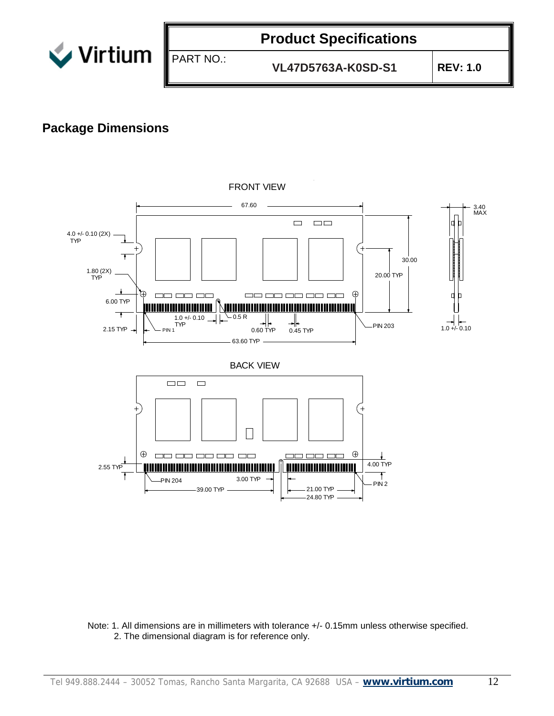

**VL47D5763A-K0SD-S1 REV: 1.0**

#### **Package Dimensions**



FRONT VIEW

Note: 1. All dimensions are in millimeters with tolerance +/- 0.15mm unless otherwise specified. 2. The dimensional diagram is for reference only.